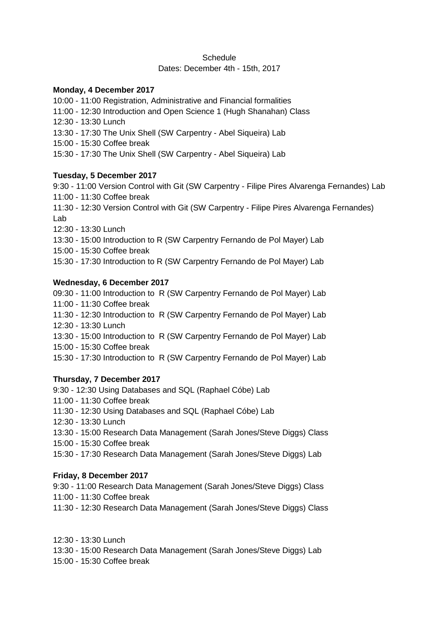## **Schedule** Dates: December 4th - 15th, 2017

### **Monday, 4 December 2017**

10:00 - 11:00 Registration, Administrative and Financial formalities 11:00 - 12:30 Introduction and Open Science 1 (Hugh Shanahan) Class 12:30 - 13:30 Lunch 13:30 - 17:30 The Unix Shell (SW Carpentry - Abel Siqueira) Lab 15:00 - 15:30 Coffee break 15:30 - 17:30 The Unix Shell (SW Carpentry - Abel Siqueira) Lab

# **Tuesday, 5 December 2017**

9:30 - 11:00 Version Control with Git (SW Carpentry - Filipe Pires Alvarenga Fernandes) Lab 11:00 - 11:30 Coffee break 11:30 - 12:30 Version Control with Git (SW Carpentry - Filipe Pires Alvarenga Fernandes) Lab 12:30 - 13:30 Lunch 13:30 - 15:00 Introduction to R (SW Carpentry Fernando de Pol Mayer) Lab 15:00 - 15:30 Coffee break

15:30 - 17:30 Introduction to R (SW Carpentry Fernando de Pol Mayer) Lab

## **Wednesday, 6 December 2017**

09:30 - 11:00 Introduction to R (SW Carpentry Fernando de Pol Mayer) Lab 11:00 - 11:30 Coffee break 11:30 - 12:30 Introduction to R (SW Carpentry Fernando de Pol Mayer) Lab 12:30 - 13:30 Lunch 13:30 - 15:00 Introduction to R (SW Carpentry Fernando de Pol Mayer) Lab 15:00 - 15:30 Coffee break 15:30 - 17:30 Introduction to R (SW Carpentry Fernando de Pol Mayer) Lab

# **Thursday, 7 December 2017**

9:30 - 12:30 Using Databases and SQL (Raphael Cóbe) Lab 11:00 - 11:30 Coffee break 11:30 - 12:30 Using Databases and SQL (Raphael Cóbe) Lab 12:30 - 13:30 Lunch 13:30 - 15:00 Research Data Management (Sarah Jones/Steve Diggs) Class 15:00 - 15:30 Coffee break 15:30 - 17:30 Research Data Management (Sarah Jones/Steve Diggs) Lab

### **Friday, 8 December 2017**

9:30 - 11:00 Research Data Management (Sarah Jones/Steve Diggs) Class 11:00 - 11:30 Coffee break

11:30 - 12:30 Research Data Management (Sarah Jones/Steve Diggs) Class

12:30 - 13:30 Lunch

- 13:30 15:00 Research Data Management (Sarah Jones/Steve Diggs) Lab
- 15:00 15:30 Coffee break